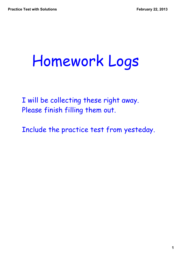### Homework Logs

I will be collecting these right away. Please finish filling them out.

Include the practice test from yesteday.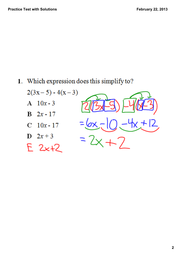1. Which expression does this simplify to?

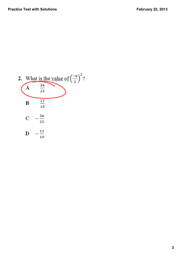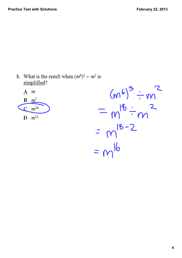3. What is the result when  $(m^6)^3$  ÷  $m^2$  is simplified?



 $(m^{6})^3 \div m^2$  $= m^{18} \div m^{2}$  $= m^{18-2}$ <br>= m<sup>16</sup>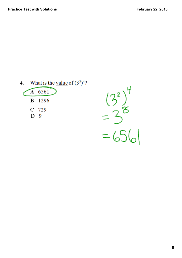| What is the value of $(3^2)^4$ ? |        |  |  |  |
|----------------------------------|--------|--|--|--|
|                                  | A 6561 |  |  |  |
|                                  | B 1296 |  |  |  |
|                                  | C 729  |  |  |  |
| Ð                                | - 9    |  |  |  |
|                                  |        |  |  |  |

 $(3^{2})^{4}$ <br>= 38<br>= 656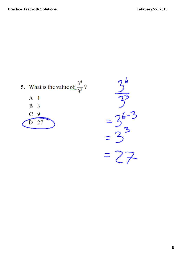![](_page_5_Figure_2.jpeg)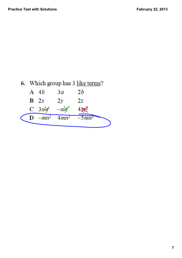| 6. Which group has 3 like terms? |                                 |                                   |    |  |
|----------------------------------|---------------------------------|-----------------------------------|----|--|
|                                  | A $4b$                          | Зa                                | 2b |  |
|                                  | $B \t2x$                        | $2\nu$                            | 2z |  |
|                                  | $C \quad 3x \& 6 \quad -x \& 6$ |                                   |    |  |
|                                  |                                 | <b>D</b> $-mn^2$ $4mn^2$ $-5mn^2$ |    |  |
|                                  |                                 |                                   |    |  |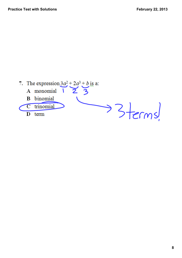![](_page_7_Figure_2.jpeg)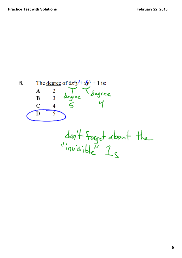The <u>degree</u> of  $6x^4y^4 + xy^3 + 1$  is:<br>
A 2  $\frac{1}{2}$  degree<br>
B 3 degree degree 8. 5  $\mathbf C$  $\overline{4}$  $\overline{5}$ D  $dof+footed about the  
"invisible"  $1_{s}$$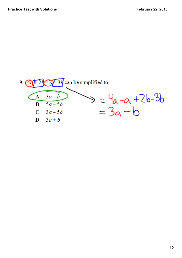![](_page_9_Figure_2.jpeg)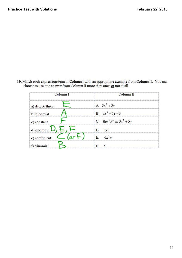- Column<sub>I</sub> Column<sub>II</sub> A.  $3x^2 + 5y$ a) degree three  $3x^4 + 5y - 3$  $\overline{B}$ . b) binomial the "5" in  $3x^2 + 5y$ C. c) constant  $3x^5$ d) one term  $\perp$ D. (or  $6x^2y$ E. e) coefficient f) trinomial  $5\overline{)}$ F.
- 10. Match each expression/term in Column I with an appropriate example from Column II. You may choose to use one answer from Column II more than once or not at all.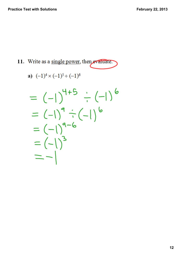11. Write as a single power, then evaluate.

a) 
$$
(-1)^4 \times (-1)^5 \div (-1)^6
$$

$$
= (-1)^{4+5} \div (-1)^{6}
$$
  
= (-1)<sup>9</sup> \div (-1)<sup>6</sup>  
= (-1)<sup>9-6</sup>  
= (-1)<sup>3</sup>  
= (-1)<sup>3</sup>  
= -1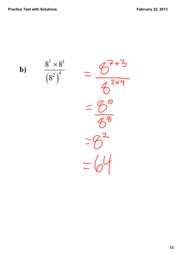b)

$$
\frac{8^{7} \times 8^{3}}{(8^{2})^{4}} = \frac{6^{7+3}}{6^{2 \times 4}}
$$

$$
= \frac{6^{10}}{6^{6}}
$$

$$
= 6^{2}
$$

$$
= 6^{4}
$$

$$
= 6^{4}
$$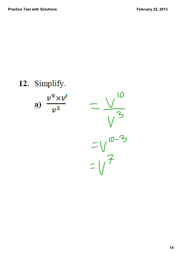## 12. Simplify. 10 a)  $\frac{v^9 \times v^4}{v^3}$  $10 - 3$  $\frac{1}{1}$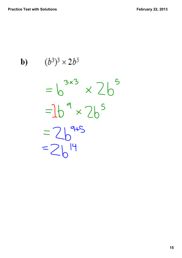$(b^3)^3 \times 2b^5$ b)

 $3x3 \times 26^5$  $2b<sup>5</sup>$ 14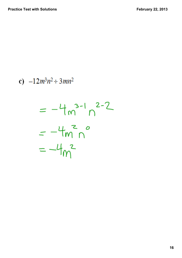# c)  $-12m^3n^2 \div 3mn^2$  $= -4m^{3-1}n^{2-2}$  $=-4m^{2}n^{0}$  $=-4m^{2}$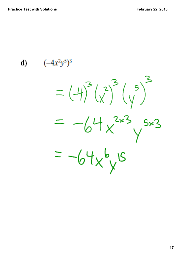d)  $(-4x^2y^5)^3$  $=(4)^{3}(\chi^{2})^{3}(\gamma^{5})^{5}$  $= -64x^{2x3}y^{5x3}$  $= -64x^{6}y^{15}$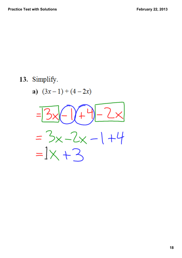#### 13. Simplify.

a) 
$$
(3x-1)+(4-2x)
$$

![](_page_17_Figure_4.jpeg)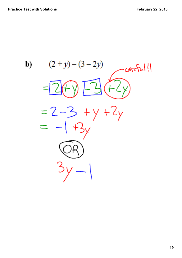b)  $(2 + y) - (3 - 2y)$ careFul!  $= 2 - 3 + y + 2y$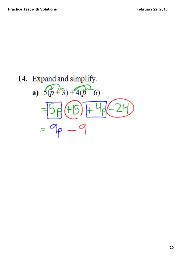# 14. Expand and simplify. a)  $5(p+3)+4(p-6)$  $= 9 - 9$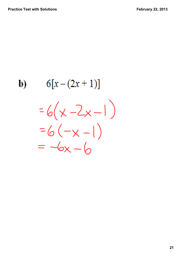### $6[x-(2x+1)]$ b)  $=6(x - 2x - 1)$  $=6(-x-1)$  $= -6x - 6$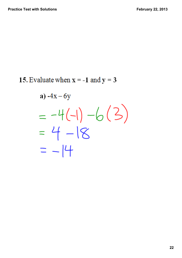15. Evaluate when  $x = -1$  and  $y = 3$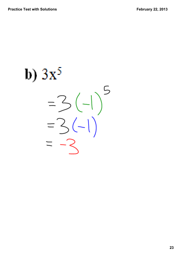b)  $3x^5$ 5  $(-|)$  $= 3$  $3(-1)$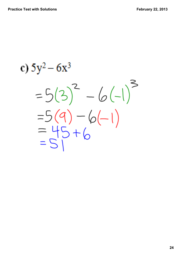c)  $5y^2 - 6x^3$  $=5(3)^{2} - 6(-1)^{3}$  $=5(9)-6(-1)$ <br>= 45 + 6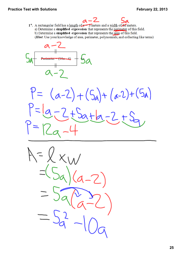$\mathfrak{a}$ 17. A rectangular field has a length of  $\alpha$  3 meters and a width of  $\alpha$  meters. a) Determine a simplified expression that represents the perimeter of this field. b) Determine a simplified expression that represents the area of this field. (*Hint*: Use your knowledge of area, perimeter, polynomials, and collecting like terms)

![](_page_24_Figure_3.jpeg)

 $P = (a-2) + (5a) + (a-2) + (5a)$  $2+5a+b-2$ 

 $\times$